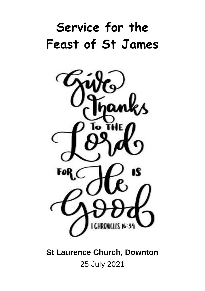# **Service for the Feast of St James**



**St Laurence Church, Downton** 25 July 2021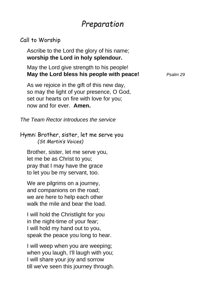## *Preparation*

#### Call to Worship

Ascribe to the Lord the glory of his name; **worship the Lord in holy splendour.**

May the Lord give strength to his people! **May the Lord bless his people with peace!** *Psalm 29*

As we rejoice in the gift of this new day, so may the light of your presence, O God, set our hearts on fire with love for you; now and for ever. **Amen.**

*The Team Rector introduces the service*

Hymn: Brother, sister, let me serve you *(St Martin's Voices)*

Brother, sister, let me serve you, let me be as Christ to you; pray that I may have the grace to let you be my servant, too.

We are pilgrims on a journey, and companions on the road; we are here to help each other walk the mile and bear the load.

I will hold the Christlight for you in the night-time of your fear; I will hold my hand out to you, speak the peace you long to hear.

I will weep when you are weeping; when you laugh, I'll laugh with you; I will share your joy and sorrow till we've seen this journey through.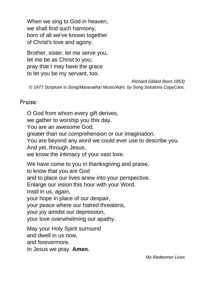When we sing to God in heaven, we shall find such harmony, born of all we've known together of Christ's love and agony.

Brother, sister, let me serve you, let me be as Christ to you; pray that I may have the grace to let you be my servant, too.

*Richard Gillard (born 1953)*

*© 1977 Scripture in Song/Maranatha! Music/Adm. by Song Solutions CopyCare,*

#### Praise:

O God from whom every gift derives, we gather to worship you this day. You are an awesome God, greater than our comprehension or our imagination. You are beyond any word we could ever use to describe you. And yet, through Jesus, we know the intimacy of your vast love. We have come to you in thanksgiving and praise, to know that you are God and to place our lives anew into your perspective. Enlarge our vision this hour with your Word. Instil in us, again, your hope in place of our despair, your peace where our hatred threatens, your joy amidst our depression, your love overwhelming our apathy. May your Holy Spirit surround and dwell in us now, and forevermore.

In Jesus we pray. **Amen.**

*My Redeemer Lives*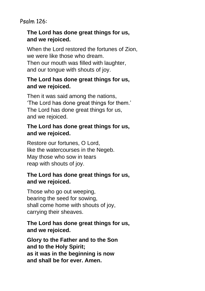Psalm 126:

#### **The Lord has done great things for us, and we rejoiced.**

When the Lord restored the fortunes of Zion, we were like those who dream. Then our mouth was filled with laughter, and our tongue with shouts of joy.

#### **The Lord has done great things for us, and we rejoiced.**

Then it was said among the nations, 'The Lord has done great things for them.' The Lord has done great things for us, and we rejoiced.

### **The Lord has done great things for us, and we rejoiced.**

Restore our fortunes, O Lord, like the watercourses in the Negeb. May those who sow in tears reap with shouts of joy.

#### **The Lord has done great things for us, and we rejoiced.**

Those who go out weeping, bearing the seed for sowing, shall come home with shouts of joy, carrying their sheaves.

### **The Lord has done great things for us, and we rejoiced.**

**Glory to the Father and to the Son and to the Holy Spirit; as it was in the beginning is now and shall be for ever. Amen.**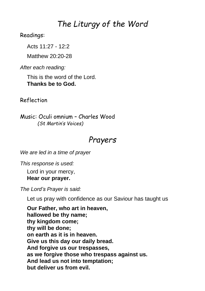## *The Liturgy of the Word*

Readings:

Acts 11:27 - 12:2

Matthew 20:20-28

*After each reading:*

This is the word of the Lord. **Thanks be to God.**

Reflection

Music: Oculi omnium – Charles Wood *(St Martin's Voices)*

## *Prayers*

*We are led in a time of prayer*

*This response is used:* Lord in your mercy,

**Hear our prayer.**

*The Lord's Prayer is said:*

Let us pray with confidence as our Saviour has taught us

**Our Father, who art in heaven, hallowed be thy name; thy kingdom come; thy will be done; on earth as it is in heaven. Give us this day our daily bread. And forgive us our trespasses, as we forgive those who trespass against us. And lead us not into temptation; but deliver us from evil.**